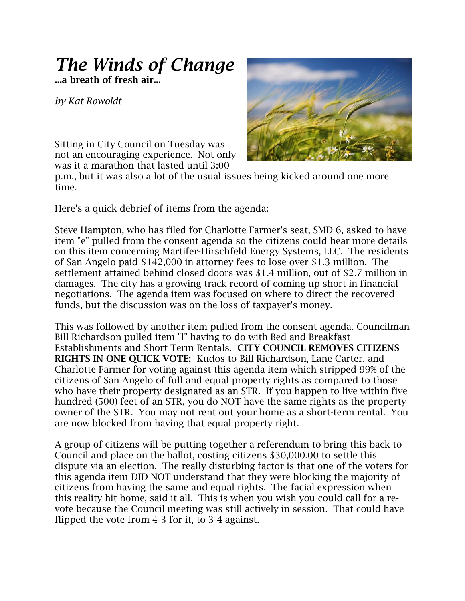## *The Winds of Change*

**...a breath of fresh air...**

*by Kat Rowoldt*

Sitting in City Council on Tuesday was not an encouraging experience. Not only was it a marathon that lasted until 3:00



p.m., but it was also a lot of the usual issues being kicked around one more time.

Here's a quick debrief of items from the agenda:

Steve Hampton, who has filed for Charlotte Farmer's seat, SMD 6, asked to have item "e" pulled from the consent agenda so the citizens could hear more details on this item concerning Martifer-Hirschfeld Energy Systems, LLC. The residents of San Angelo paid \$142,000 in attorney fees to lose over \$1.3 million. The settlement attained behind closed doors was \$1.4 million, out of \$2.7 million in damages. The city has a growing track record of coming up short in financial negotiations. The agenda item was focused on where to direct the recovered funds, but the discussion was on the loss of taxpayer's money.

This was followed by another item pulled from the consent agenda. Councilman Bill Richardson pulled item "l" having to do with Bed and Breakfast Establishments and Short Term Rentals. **CITY COUNCIL REMOVES CITIZENS RIGHTS IN ONE QUICK VOTE:** Kudos to Bill Richardson, Lane Carter, and Charlotte Farmer for voting against this agenda item which stripped 99% of the citizens of San Angelo of full and equal property rights as compared to those who have their property designated as an STR. If you happen to live within five hundred (500) feet of an STR, you do NOT have the same rights as the property owner of the STR. You may not rent out your home as a short-term rental. You are now blocked from having that equal property right.

A group of citizens will be putting together a referendum to bring this back to Council and place on the ballot, costing citizens \$30,000.00 to settle this dispute via an election. The really disturbing factor is that one of the voters for this agenda item DID NOT understand that they were blocking the majority of citizens from having the same and equal rights. The facial expression when this reality hit home, said it all. This is when you wish you could call for a revote because the Council meeting was still actively in session. That could have flipped the vote from 4-3 for it, to 3-4 against.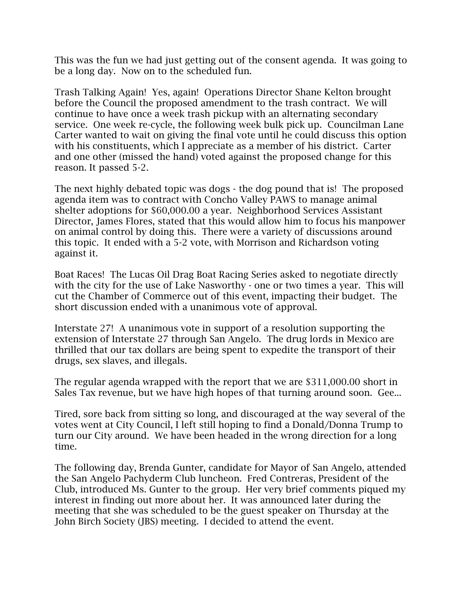This was the fun we had just getting out of the consent agenda. It was going to be a long day. Now on to the scheduled fun.

Trash Talking Again! Yes, again! Operations Director Shane Kelton brought before the Council the proposed amendment to the trash contract. We will continue to have once a week trash pickup with an alternating secondary service. One week re-cycle, the following week bulk pick up. Councilman Lane Carter wanted to wait on giving the final vote until he could discuss this option with his constituents, which I appreciate as a member of his district. Carter and one other (missed the hand) voted against the proposed change for this reason. It passed 5-2.

The next highly debated topic was dogs - the dog pound that is! The proposed agenda item was to contract with Concho Valley PAWS to manage animal shelter adoptions for \$60,000.00 a year. Neighborhood Services Assistant Director, James Flores, stated that this would allow him to focus his manpower on animal control by doing this. There were a variety of discussions around this topic. It ended with a 5-2 vote, with Morrison and Richardson voting against it.

Boat Races! The Lucas Oil Drag Boat Racing Series asked to negotiate directly with the city for the use of Lake Nasworthy - one or two times a year. This will cut the Chamber of Commerce out of this event, impacting their budget. The short discussion ended with a unanimous vote of approval.

Interstate 27! A unanimous vote in support of a resolution supporting the extension of Interstate 27 through San Angelo. The drug lords in Mexico are thrilled that our tax dollars are being spent to expedite the transport of their drugs, sex slaves, and illegals.

The regular agenda wrapped with the report that we are \$311,000.00 short in Sales Tax revenue, but we have high hopes of that turning around soon. Gee...

Tired, sore back from sitting so long, and discouraged at the way several of the votes went at City Council, I left still hoping to find a Donald/Donna Trump to turn our City around. We have been headed in the wrong direction for a long time.

The following day, Brenda Gunter, candidate for Mayor of San Angelo, attended the San Angelo Pachyderm Club luncheon. Fred Contreras, President of the Club, introduced Ms. Gunter to the group. Her very brief comments piqued my interest in finding out more about her. It was announced later during the meeting that she was scheduled to be the guest speaker on Thursday at the John Birch Society (JBS) meeting. I decided to attend the event.